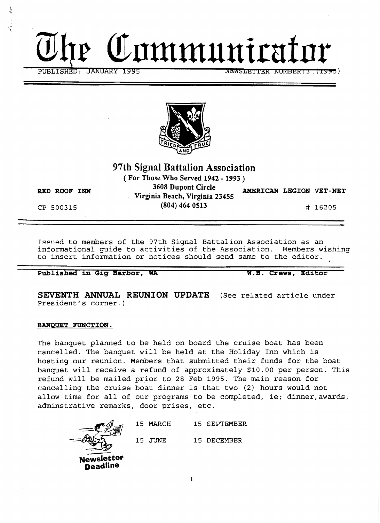



# **97th Signal Battalion Association**

**( For Those Who Served 1942 - 1993** )

**RED ROOF INN 3608 Dupont Circle AMERICAN LEGION VET-NET Virginia Beach, Virginia 23455**  CP 500315 **(804) 464 0513** # 16205

i

.<br>م  $\mathcal{L}$ 

 $\mathbf{r}$ 'r

> Issued to members of the 97th Signal Battalion Association as an informational quide to activities of the Association. Members wishing informational guide to activities of the Association. to insert information or notices should send same to the editor.

Published in Gig Harbor, WA W.H. Crews, Editor

**SEVENTH ANNUAL REUNION UPDATE** (See related article under President's corner.)

# **BANQUET FUNCTION.**

The banquet planned to be held on board the cruise boat has been cancelled. The banquet will be held at the Holiday Inn which is hosting our reunion. Members that submitted their funds for the boat banquet will receive a refund of approximately \$10.00 per person. This refund will be mailed prior to 28 Feb 1995. The main reason for cancelling the cruise boat dinner is that two (2) hours would not allow time for all of our programs to be completed, ie; dinner, awards, adminstrative remarks, door prises, etc.



15 MARCH 15 SEPTEMBER 15 JUNE 15 DECEMBER

1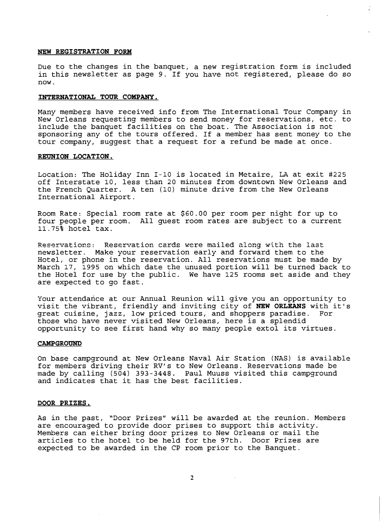#### **NEW REGISTRATION FORM**

Due to the changes in the banquet, a new registration form is included in this newsletter as page 9. If you have not registered, please do so now.

## **INTERNATIONAL TOUR COMPANY.**

Many members have received info from The International Tour Company in New Orleans requesting members to send money for reservations, etc. to include the banquet facilities on the boat. The Association is not sponsoring any of the tours offered. If a member has sent money to the tour company, suggest that a request for a refund be made at once.

#### **REUNION LOCATION.**

Location: The Holiday Inn 1-10 is located in Metaire, LA at exit #225 off Interstate 10, less than 20 minutes from downtown New Orleans and the French Quarter. A ten (10) minute drive from the New Orleans International Airport.

Room Rate: Special room rate at \$60.00 per room per night for up to four people per room. All guest room rates are subject to a current 11.75% hotel tax.

Reservations: Reservation cards were mailed along with the last newsletter. Make your reservation early and forward them to the Hotel, or phone in the reservation. All reservations must be made by March 17, 1995 on which date the unused portion will be turned back to the Hotel for use by the public. We have 125 rooms set aside and they are expected to go fast.

Your attendance at our Annual Reunion will give you an opportunity to visit the vibrant, friendly and inviting city of **NEW ORLEANS** with it's great cuisine, jazz, low priced tours, and shoppers paradise. those who have never visited New Orleans, here is a splendid opportunity to see first hand why so many people extol its virtues.

#### **CAMPGROUND**

On base campground at New Orleans Naval Air Station (NAS) is available for members driving their RV's to New Orleans. Reservations made be made by calling (504) 393-3448. Paul Muuss visited this campground and indicates that it has the best facilities.

#### **DOOR PRIZES.**

As in the past, "Door Prizes" will be awarded at the reunion. Members are encouraged to provide door prises to support this activity. Members can either bring door prizes to New Orleans or mail the articles to the hotel to be held for the 97th. Door Prizes are expected to be awarded in the CP room prior to the Banquet.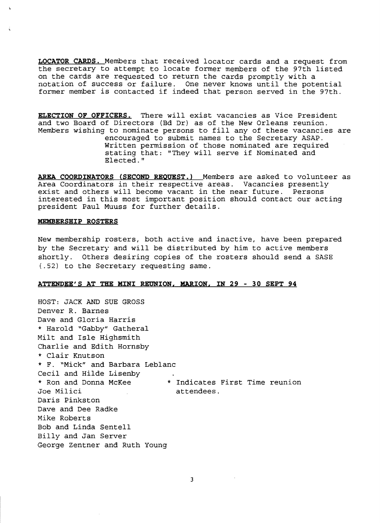**LOCATOR CARDS.** Members that received locator cards and a request from the secretary to attempt to locate former members of the 97th listed on the cards are requested to return the cards promptly with a notation of success or failure. One never knows until the potential former member is contacted if indeed that person served in the 97th.

**ELECTION OF OFFICERS.** There will exist vacancies as Vice President and two Board of Directors (Bd Dr) as of the New Orleans reunion. Members wishing to nominate persons to fill any of these vacancies are encouraged to submit names to the Secretary ASAP. Written permission of those nominated are required stating that: "They will serve if Nominated and Elected."

**AREA COORDINATORS (SECOND REQUEST.)** Members are asked to volunteer as Area Coordinators in their respective areas. Vacancies presently exist and others will become vacant in the near future. Persons interested in this most important position should contact our acting president Paul Muuss for further details.

#### **MEMBERSHIP ROSTERS**

New membership rosters, both active and inactive, have been prepared by the Secretary and will be distributed by him to active members shortly. Others desiring copies of the rosters should send a SASE (.52) to the Secretary requesting same.

#### **ATTENDEE'S AT THE MINI REUNION, MARION, IN 29 - 30 SEPT 94**

HOST: JACK AND SUE GROSS Denver R. Barnes Dave and Gloria Harris \* Harold *"Gabby"* Gatheral Milt and Isle Highsmith Charlie and Edith Hornsby \* Clair Knutson \* F. "Mick" and Barbara Leblanc Cecil and Hilde Lisenby \* Ron and Donna McKee \* Indicates First Time reunion Joe Milici attendees. Daris Pinkston Dave and Dee Radke Mike Roberts Bob and Linda Sentell Billy and Jan Server George Zentner and Ruth Young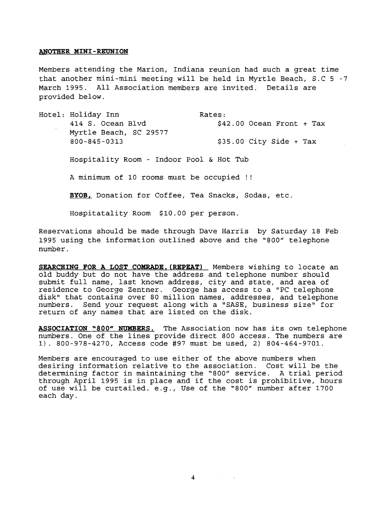## **ANOTHER MINI-REUNION**

Members attending the Marion, Indiana reunion had such a great time that another mini-mini meeting will be held in Myrtle Beach, S.C 5 -7 March 1995. All Association members are invited. Details are provided below.

Hotel: Holiday Inn Rates: 414 S. Ocean Blvd  $$42.00$  Ocean Front + Tax Myrtle Beach, SC 29577 800-845-0313 \$35.00 City Side + Tax Hospitality Room - Indoor Pool & Hot Tub A minimum of 10 rooms must be occupied !! **BYOB,** Donation for Coffee, Tea Snacks, Sodas, etc. Hospitatality Room \$10.00 per person.

Reservations should be made through Dave Harris by Saturday 18 Feb 1995 using the information outlined above and the "800" telephone number.

**SEARCHING FOR A LOST** COMRADE. (REPBAT) Members wishing to locate an old buddy but do not have the address and telephone number should submit full name, last known address, city and state, and area of residence to George Zentner. George has access to a "PC telephone disk" that contains over 80 million names, addresses, and telephone numbers. Send your request along with a "SASE, business size" for return of any names that are listed on the disk.

**ASSOCIATION "800" NUMBERS.** The Association now has its own telephone numbers. One of the lines provide direct 800 access. The numbers are 1). 800-978-4270, Access code #97 must be used, 2) 804-464-9701.

Members are encouraged to use either of the above numbers when desiring information relative to the association. Cost will be the determining factor in maintaining the "800" service. A trial period through April 1995 is in place and if the cost is prohibitive, hours of use will be curtailed. e.g., Use of the "800" number after 1700 each day.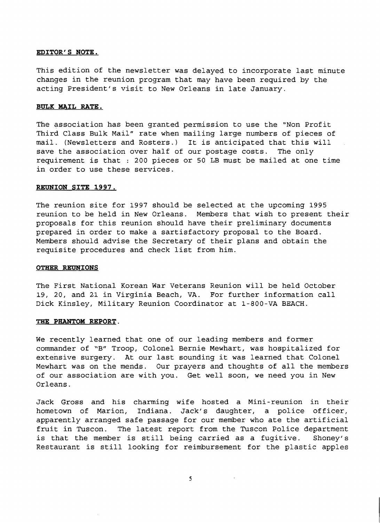## **EDITOR'S NOTE.**

This edition of the newsletter was delayed to incorporate last minute changes in the reunion program that may have been required by the acting President's visit to New Orleans in late January.

## **BULK MAIL RATE.**

The association has been granted permission to use the "Non Profit Third Class Bulk Mail" rate when mailing large numbers of pieces of mail. (Newsletters and Rosters.) It is anticipated that this will save the association over half of our postage costs. The only requirement is that : 200 pieces or 50 LB must be mailed at one time in order to use these services.

## **REUNION SITE 1997.**

The reunion site for 1997 should be selected at the upcoming 1995 reunion to be held in New Orleans. Members that wish to present their proposals for this reunion should have their preliminary documents prepared in order to make a sartisfactory proposal to the Board. Members should advise the Secretary of their plans and obtain the requisite procedures and check list from him.

# **OTHER REUNIONS**

The First National Korean War Veterans Reunion will be held October 19, 20, and 21 in Virginia Beach, VA. For further information call Dick Kinsley, Military Reunion Coordinator at 1-S00-VA BEACH.

#### **THE PHANTOM REPORT.**

We recently learned that one of our leading members and former commander of *"B"* Troop, Colonel Bernie Mewhart, was hospitalized for extensive surgery. At our last sounding it was learned that Colonel Mewhart was on the mends. Our prayers and thoughts of all the members of our association are with you. Get well soon, we need you in New Orleans.

Jack Gross and his charming wife hosted a Mini-reunion in their hometown of Marion, Indiana. Jack's daughter, a police officer, apparently arranged safe passage for our member who ate the artificial fruit in Tuscon. The latest report from the Tuscon Police department is that the member is still being carried as a fugitive. Shoney's Restaurant is still looking for reimbursement for the plastic apples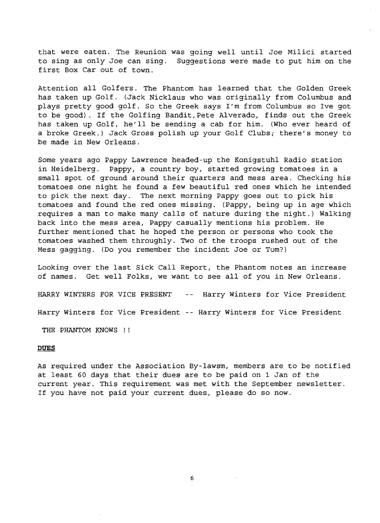that were eaten. The Reunion was going well until Joe Milici started to sing as only Joe can sing. Suggestions were made to put him on the first Box Car out of town.

Attention all Golfers. The Phantom has learned that the Golden Greek has taken up Golf. (Jack Nicklaus who was originally from Columbus and plays pretty good golf. So the Greek says I'm from Columbus so Ive got to be good). If the Golfing Bandit,Pete Alverado, finds out the Greek has taken up Golf, he'll be sending a cab for him. (Who ever heard of a broke Greek.) Jack Gross polish up your Golf Clubs; there's money to be made in New Orleans.

Some years ago Pappy Lawrence headed-up the Konigstuhl Radio station in Heidelberg. Pappy, a country boy, started growing tomatoes in a small spot of ground around their quarters and mess area. Checking his tomatoes one night he found a few beautiful red ones which he intended to pick the next day. The next morning Pappy goes out to pick his tomatoes and found the red ones missing. (Pappy, being up in age which requires a man to make many calls of nature during the night.) Walking back into the mess area, Pappy casually mentions his problem. He further mentioned that he hoped the person or persons who took the tomatoes washed them throughly. Two of the troops rushed out of the Mess gagging. (Do you remember the incident Joe or Tom?)

Looking over the last Sick Call Report, the Phantom notes an increase of names. Get well Folks, we want to see all of you in New Orleans.

HARRY WINTERS FOR VICE PRESENT -- Harry Winters for Vice President Harry Winters for Vice President -- Harry Winters for Vice President

THE PHANTOM KNOWS !!

#### **DUES**

As required under the Association By-Iawsm, members are to be notified at least 60 days that their dues are to be paid on 1 Jan of the current year. This requirement was met with the September newsletter. If you have not paid your current dues, please do so now.

6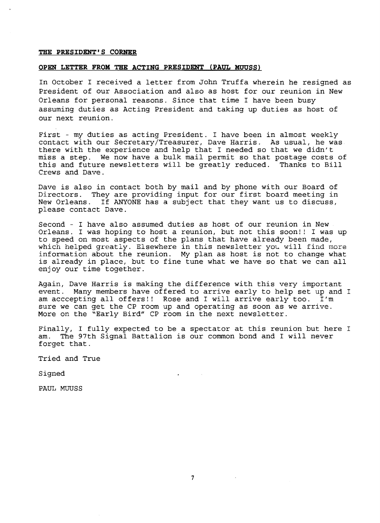#### **THE PRESIDENT'S CORNER**

## **OPEN LETTER FROM THE ACTING PRESIDENT (PAUL HUUSS)**

In October I received a letter from John Truffa wherein he resigned as President of our Association and also as host for our reunion in New Orleans for personal reasons. Since that time I have been busy assuming duties as Acting President and taking up duties as host of our next reunion.

First - my duties as acting President. I have been in almost weekly contact with our Secretary/Treasurer, Dave Harris. As usual, he was there with the experience and help that I needed so that we didn't miss a step. We now have a bulk mail permit so that postage costs of this and future newsletters will be greatly reduced. Thanks to Bill this and future newsletters will be greatly reduced. Crews and Dave.

Dave is also in contact both by mail and by phone with our Board of Directors. They are providing input for our first board meeting in New Orleans. If ANYONE has a subject that they want us to discuss, please contact Dave.

Second - I have also assumed duties as host of our reunion in New Orleans. I was hoping to host a reunion, but not this soon!! I was up to speed on most aspects of the plans that have already been made, which helped greatly. Elsewhere in this newsletter you will find more information about the reunion. My plan as host is not to change what is already in place, but to fine tune what we have so that we can all enjoy our time together.

Again, Dave Harris is making the difference with this very important event. Many members have offered to arrive early to help set up and I am accepting all offers!! Rose and I will arrive early too. I'm am acccepting all offers!! Rose and I will arrive early too. sure we can get the CP room up and operating as soon as we arrive. More on the "Early Bird" CP room in the next newsletter.

Finally, I fully expected to be a spectator at this reunion but here I am. The 97th Signal Battalion is our common bond and I will never forget that.

 $\mathbf{z}$  .

Tried and True

Signed

PAUL MUUSS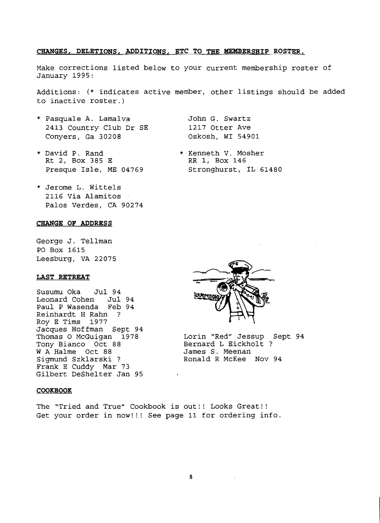# CHANGES, DELETIONS, ADDITIONS, ETC TO THE MEMBERSHIP ROSTER.

Make corrections listed below to your current membership roster of January 1995:

Additions: (\* indicates active member, other listings should be added to inactive roster.)

- \* Pasquale A. Lamalva John G. Swartz 2413 Country Club Dr SE 1217 Otter Ave Conyers, Ga 30208 Oskosh, WI 54901
- \* David P. Rand \* Kenneth V. Mosher<br>Rt 2, Box 385 E \* \* RR 1, Box 146 Rt 2, Box 385 E

- Presque Isle, ME 04769 Stronghurst, IL 61480
- \* Jerome L. Wittels 2116 Via Alamitos Palos Verdes, CA 90274

#### **CHANGE OP ADDRESS**

George J. Tellman PO Box 1615 Leesburg, VA 22075

# **LAST RETREAT**

Susumu Oka Jul 94 Leonard Cohen Jul 94 Paul P Wasenda Feb 94 Reinhardt H Rahn ? Roy E Tims 1977 Jacques Hoffman Sept 94 Tony Bianco Oct 88 Bernard L Eickholt & Rickholt & Bernard L Eickholt & Reenan W A Halme Oct 88<br>Sigmund Szklarski ? Frank E Cuddy Mar 73 Gilbert DeShelter Jan 95

#### **COOKBOOK**

The "Tried and True" Cookbook is out!! Looks Great!! Get your order in now!!! See page 11 for ordering info.



Lorin "Red" Jessup Sept 94<br>Bernard L Eickholt ? Ronald R McKee Nov 94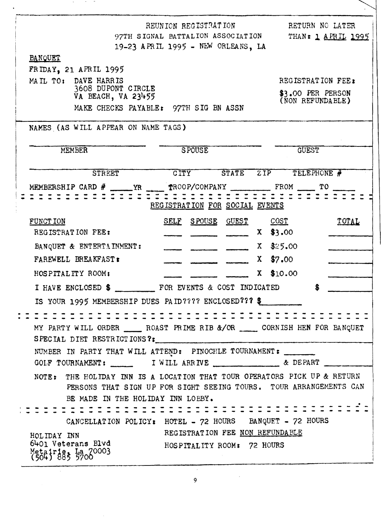|                                          |                                          | REUNION REGISTRATION<br>97TH SIGNAL BATTALION ASSOCIATION                                                                                                                           |                                       | RETURN NO LATER<br>THAN: 1 APRIL 1995 |                                       |  |
|------------------------------------------|------------------------------------------|-------------------------------------------------------------------------------------------------------------------------------------------------------------------------------------|---------------------------------------|---------------------------------------|---------------------------------------|--|
|                                          |                                          | 19-23 APRIL 1995 - NEW ORLEANS, LA                                                                                                                                                  |                                       |                                       |                                       |  |
| <b>BANQUET</b>                           |                                          |                                                                                                                                                                                     |                                       |                                       |                                       |  |
| FRIDAY, 21 APRIL 1995                    |                                          |                                                                                                                                                                                     |                                       |                                       |                                       |  |
| MAIL TO: DAVE HARRIS                     |                                          |                                                                                                                                                                                     |                                       |                                       | REGISTRATION FEE:                     |  |
|                                          | 3608 DUPONT CIRCLE<br>VA BEACH, VA 23455 |                                                                                                                                                                                     |                                       |                                       | \$3.00 PER PERSON<br>(NON REFUNDABLE) |  |
|                                          |                                          |                                                                                                                                                                                     | MAKE CHECKS PAYABLE: 97TH SIG BN ASSN |                                       |                                       |  |
|                                          | NAMES (AS WILL APPEAR ON NAME TAGS)      |                                                                                                                                                                                     |                                       |                                       |                                       |  |
| <b>MEMBER</b>                            |                                          | <b>SPOUSE</b>                                                                                                                                                                       |                                       |                                       | <b>GUEST</b>                          |  |
|                                          | <b>STREET</b>                            | <b>CITY</b>                                                                                                                                                                         | <b>STATE</b>                          | ZIP                                   | TELEPHONE #                           |  |
|                                          |                                          |                                                                                                                                                                                     |                                       |                                       |                                       |  |
|                                          |                                          |                                                                                                                                                                                     |                                       |                                       |                                       |  |
|                                          |                                          | REGISTRATION FOR SOCIAL EVENTS                                                                                                                                                      |                                       |                                       |                                       |  |
| FUNCT ION                                |                                          | SELF SPOUSE GUEST                                                                                                                                                                   |                                       | $\overline{\text{COST}}$              | TOTAL                                 |  |
| REGISTRATION FEE:                        |                                          |                                                                                                                                                                                     |                                       | $X$ \$3.00                            |                                       |  |
|                                          | BANQUET & ENTERTAINMENT:                 |                                                                                                                                                                                     |                                       | $X = $25.00$                          |                                       |  |
| FAREWELL BREAKFAST:                      |                                          |                                                                                                                                                                                     |                                       | $X$ \$7.00                            |                                       |  |
| HOSPITALITY ROOM:                        |                                          |                                                                                                                                                                                     |                                       | \$10.00<br>$\mathbf{x}$               |                                       |  |
|                                          |                                          |                                                                                                                                                                                     |                                       |                                       |                                       |  |
|                                          |                                          | IS YOUR 1995 MEMBERSHIP DUES PAID???? ENCLOSED??? \$                                                                                                                                |                                       |                                       |                                       |  |
|                                          |                                          |                                                                                                                                                                                     |                                       |                                       |                                       |  |
|                                          |                                          |                                                                                                                                                                                     |                                       |                                       |                                       |  |
|                                          |                                          | MY PARTY WILL ORDER _______ ROAST PRIME RIB &/OR _______ CORNISH HEN FOR BANQUET<br>SPECIAL DIET RESTRICTIONS ?:                                                                    |                                       |                                       |                                       |  |
|                                          |                                          | NUMBER IN PARTY THAT WILL ATTEND: PINOCHLE TOURNAMENT:                                                                                                                              |                                       |                                       |                                       |  |
|                                          |                                          | GOLF TOURNAMENT: ________ I WILL ARRIVE ______________ & DEPART ____                                                                                                                |                                       |                                       |                                       |  |
|                                          |                                          |                                                                                                                                                                                     |                                       |                                       |                                       |  |
|                                          |                                          | NOTE: THE HOLIDAY INN IS A LOCATION THAT TOUR OPERATORS PICK UP & RETURN<br>PERSONS THAT SIGN UP FOR SIGHT SEEING TOURS. TOUR ARRANGEMENTS CAN<br>BE MADE IN THE HOLIDAY INN LOBBY. |                                       |                                       |                                       |  |
|                                          |                                          |                                                                                                                                                                                     |                                       |                                       |                                       |  |
|                                          |                                          | CANCELLATION POLICY: HOTEL - 72 HOURS BANQUET - 72 HOURS                                                                                                                            |                                       |                                       |                                       |  |
| HOLIDAY INN                              |                                          | REGISTRATION FEE NON REFUNDABLE                                                                                                                                                     |                                       |                                       |                                       |  |
| 6401 Veterans Blvd<br>Metairies La 70003 |                                          | HOSPITALITY ROOM: 72 HOURS                                                                                                                                                          |                                       |                                       |                                       |  |
|                                          |                                          |                                                                                                                                                                                     |                                       |                                       |                                       |  |

 $\mathcal{L}^{\mathcal{L}}(\mathcal{L}^{\mathcal{L}}(\mathcal{L}^{\mathcal{L}}(\mathcal{L}^{\mathcal{L}}(\mathcal{L}^{\mathcal{L}}(\mathcal{L}^{\mathcal{L}}(\mathcal{L}^{\mathcal{L}}(\mathcal{L}^{\mathcal{L}}(\mathcal{L}^{\mathcal{L}}(\mathcal{L}^{\mathcal{L}}(\mathcal{L}^{\mathcal{L}}(\mathcal{L}^{\mathcal{L}}(\mathcal{L}^{\mathcal{L}}(\mathcal{L}^{\mathcal{L}}(\mathcal{L}^{\mathcal{L}}(\mathcal{L}^{\mathcal{L}}(\mathcal{L}^{\mathcal{L$